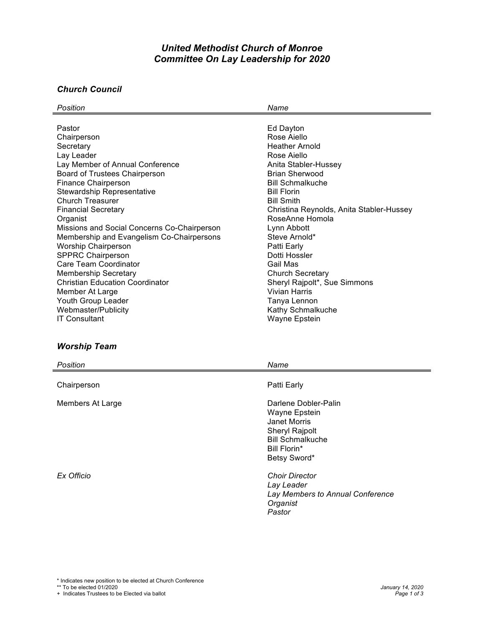# *United Methodist Church of Monroe Committee On Lay Leadership for 2020*

## *Church Council*

| Position                                    | Name                                     |
|---------------------------------------------|------------------------------------------|
|                                             |                                          |
| Pastor                                      | Ed Dayton                                |
| Chairperson                                 | Rose Aiello                              |
| Secretary                                   | <b>Heather Arnold</b>                    |
| Lay Leader                                  | Rose Aiello                              |
| Lay Member of Annual Conference             | Anita Stabler-Hussey                     |
| Board of Trustees Chairperson               | Brian Sherwood                           |
| <b>Finance Chairperson</b>                  | <b>Bill Schmalkuche</b>                  |
| <b>Stewardship Representative</b>           | <b>Bill Florin</b>                       |
| Church Treasurer                            | <b>Bill Smith</b>                        |
| <b>Financial Secretary</b>                  | Christina Reynolds, Anita Stabler-Hussey |
| Organist                                    | RoseAnne Homola                          |
| Missions and Social Concerns Co-Chairperson | Lynn Abbott                              |
| Membership and Evangelism Co-Chairpersons   | Steve Arnold*                            |
| Worship Chairperson                         | Patti Early                              |
| <b>SPPRC Chairperson</b>                    | Dotti Hossler                            |
| Care Team Coordinator                       | Gail Mas                                 |
| <b>Membership Secretary</b>                 | <b>Church Secretary</b>                  |
| <b>Christian Education Coordinator</b>      | Sheryl Rajpolt*, Sue Simmons             |
| Member At Large                             | Vivian Harris                            |
| Youth Group Leader                          | Tanya Lennon                             |
| Webmaster/Publicity                         | Kathy Schmalkuche                        |
| <b>IT Consultant</b>                        | Wayne Epstein                            |

# *Worship Team*

| Position         | Name                                                                                                                               |
|------------------|------------------------------------------------------------------------------------------------------------------------------------|
| Chairperson      | Patti Early                                                                                                                        |
| Members At Large | Darlene Dobler-Palin<br>Wayne Epstein<br>Janet Morris<br>Sheryl Rajpolt<br><b>Bill Schmalkuche</b><br>Bill Florin*<br>Betsy Sword* |
| Ex Officio       | <b>Choir Director</b><br>Lay Leader<br>Lay Members to Annual Conference<br>Organist<br>Pastor                                      |

\*\* To be elected 01/2020 *January 14, 2020* + Indicates Trustees to be Elected via ballot *Page 1 of 3*

 $\overline{\phantom{0}}$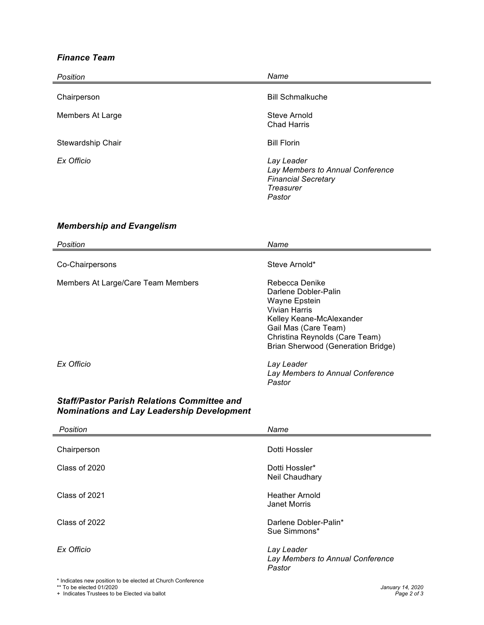### *Finance Team*

| Position          | Name                                                                                                |
|-------------------|-----------------------------------------------------------------------------------------------------|
| Chairperson       | <b>Bill Schmalkuche</b>                                                                             |
| Members At Large  | Steve Arnold<br><b>Chad Harris</b>                                                                  |
| Stewardship Chair | <b>Bill Florin</b>                                                                                  |
| Ex Officio        | Lay Leader<br>Lay Members to Annual Conference<br><b>Financial Secretary</b><br>Treasurer<br>Pastor |

## *Membership and Evangelism*

| Position                           | Name                                                                                                                                                                                                 |
|------------------------------------|------------------------------------------------------------------------------------------------------------------------------------------------------------------------------------------------------|
| Co-Chairpersons                    | Steve Arnold*                                                                                                                                                                                        |
| Members At Large/Care Team Members | Rebecca Denike<br>Darlene Dobler-Palin<br>Wayne Epstein<br>Vivian Harris<br>Kelley Keane-McAlexander<br>Gail Mas (Care Team)<br>Christina Reynolds (Care Team)<br>Brian Sherwood (Generation Bridge) |
| Ex Officio                         | Lay Leader<br>Lay Members to Annual Conference<br>Pastor                                                                                                                                             |

#### *Staff/Pastor Parish Relations Committee and Nominations and Lay Leadership Development*

| Position      | Name                                                     |
|---------------|----------------------------------------------------------|
| Chairperson   | Dotti Hossler                                            |
| Class of 2020 | Dotti Hossler*<br>Neil Chaudhary                         |
| Class of 2021 | <b>Heather Arnold</b><br>Janet Morris                    |
| Class of 2022 | Darlene Dobler-Palin*<br>Sue Simmons*                    |
| Ex Officio    | Lay Leader<br>Lay Members to Annual Conference<br>Pastor |

\* Indicates new position to be elected at Church Conference